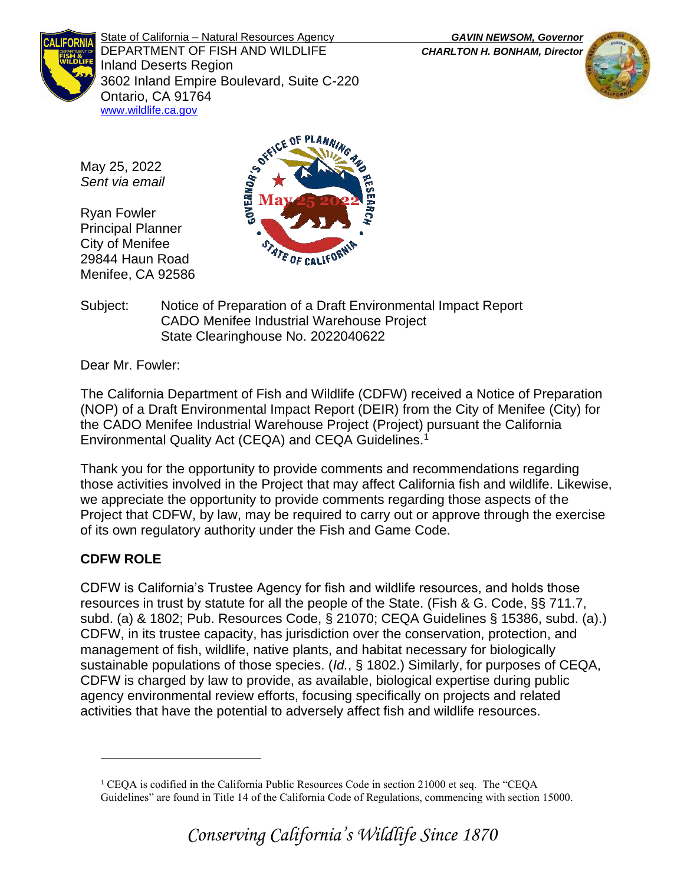State of California – Natural Resources Agency *GAVIN NEWSOM, Governor* DEPARTMENT OF FISH AND WILDLIFE *CHARLTON H. BONHAM, Director*  Inland Deserts Region 3602 Inland Empire Boulevard, Suite C-220 Ontario, CA 91764 [www.wildlife.ca.gov](http://www.wildlife.ca.gov/)



May 25, 2022 *Sent via email*

Ryan Fowler Principal Planner City of Menifee 29844 Haun Road Menifee, CA 92586



Subject: Notice of Preparation of a Draft Environmental Impact Report CADO Menifee Industrial Warehouse Project State Clearinghouse No. 2022040622

Dear Mr. Fowler:

The California Department of Fish and Wildlife (CDFW) received a Notice of Preparation (NOP) of a Draft Environmental Impact Report (DEIR) from the City of Menifee (City) for the CADO Menifee Industrial Warehouse Project (Project) pursuant the California Environmental Quality Act (CEQA) and CEQA Guidelines.<sup>1</sup>

Thank you for the opportunity to provide comments and recommendations regarding those activities involved in the Project that may affect California fish and wildlife. Likewise, we appreciate the opportunity to provide comments regarding those aspects of the Project that CDFW, by law, may be required to carry out or approve through the exercise of its own regulatory authority under the Fish and Game Code.

# **CDFW ROLE**

CDFW is California's Trustee Agency for fish and wildlife resources, and holds those resources in trust by statute for all the people of the State. (Fish & G. Code, §§ 711.7, subd. (a) & 1802; Pub. Resources Code, § 21070; CEQA Guidelines § 15386, subd. (a).) CDFW, in its trustee capacity, has jurisdiction over the conservation, protection, and management of fish, wildlife, native plants, and habitat necessary for biologically sustainable populations of those species. (*Id.*, § 1802.) Similarly, for purposes of CEQA, CDFW is charged by law to provide, as available, biological expertise during public agency environmental review efforts, focusing specifically on projects and related activities that have the potential to adversely affect fish and wildlife resources.

<sup>1</sup> CEQA is codified in the California Public Resources Code in section 21000 et seq. The "CEQA Guidelines" are found in Title 14 of the California Code of Regulations, commencing with section 15000.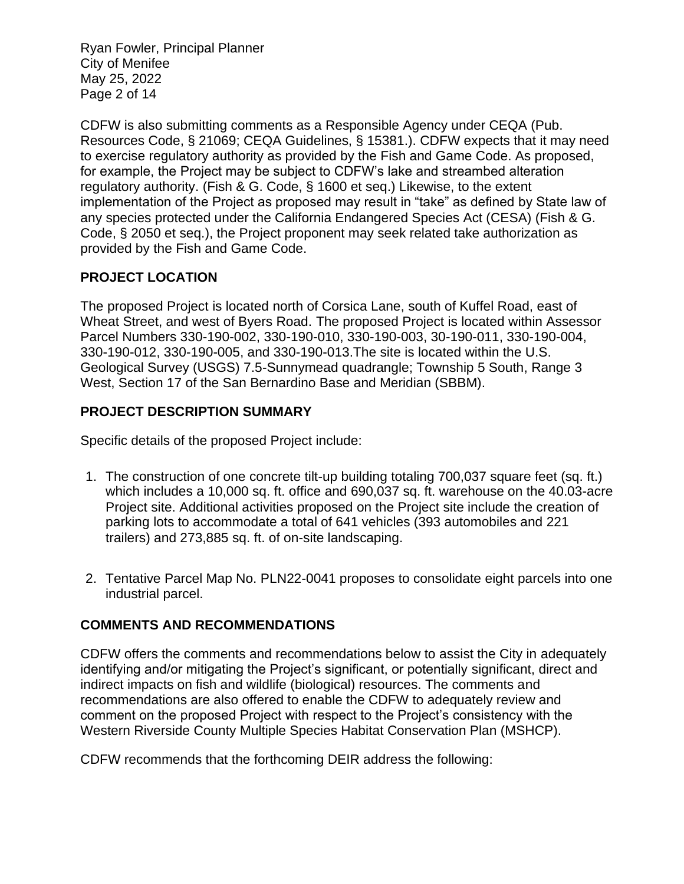Ryan Fowler, Principal Planner City of Menifee May 25, 2022 Page 2 of 14

CDFW is also submitting comments as a Responsible Agency under CEQA (Pub. Resources Code, § 21069; CEQA Guidelines, § 15381.). CDFW expects that it may need to exercise regulatory authority as provided by the Fish and Game Code. As proposed, for example, the Project may be subject to CDFW's lake and streambed alteration regulatory authority. (Fish & G. Code, § 1600 et seq.) Likewise, to the extent implementation of the Project as proposed may result in "take" as defined by State law of any species protected under the California Endangered Species Act (CESA) (Fish & G. Code, § 2050 et seq.), the Project proponent may seek related take authorization as provided by the Fish and Game Code.

## **PROJECT LOCATION**

The proposed Project is located north of Corsica Lane, south of Kuffel Road, east of Wheat Street, and west of Byers Road. The proposed Project is located within Assessor Parcel Numbers 330-190-002, 330-190-010, 330-190-003, 30-190-011, 330-190-004, 330-190-012, 330-190-005, and 330-190-013.The site is located within the U.S. Geological Survey (USGS) 7.5-Sunnymead quadrangle; Township 5 South, Range 3 West, Section 17 of the San Bernardino Base and Meridian (SBBM).

## **PROJECT DESCRIPTION SUMMARY**

Specific details of the proposed Project include:

- 1. The construction of one concrete tilt-up building totaling 700,037 square feet (sq. ft.) which includes a 10,000 sq. ft. office and 690,037 sq. ft. warehouse on the 40.03-acre Project site. Additional activities proposed on the Project site include the creation of parking lots to accommodate a total of 641 vehicles (393 automobiles and 221 trailers) and 273,885 sq. ft. of on-site landscaping.
- 2. Tentative Parcel Map No. PLN22-0041 proposes to consolidate eight parcels into one industrial parcel.

## **COMMENTS AND RECOMMENDATIONS**

CDFW offers the comments and recommendations below to assist the City in adequately identifying and/or mitigating the Project's significant, or potentially significant, direct and indirect impacts on fish and wildlife (biological) resources. The comments and recommendations are also offered to enable the CDFW to adequately review and comment on the proposed Project with respect to the Project's consistency with the Western Riverside County Multiple Species Habitat Conservation Plan (MSHCP).

CDFW recommends that the forthcoming DEIR address the following: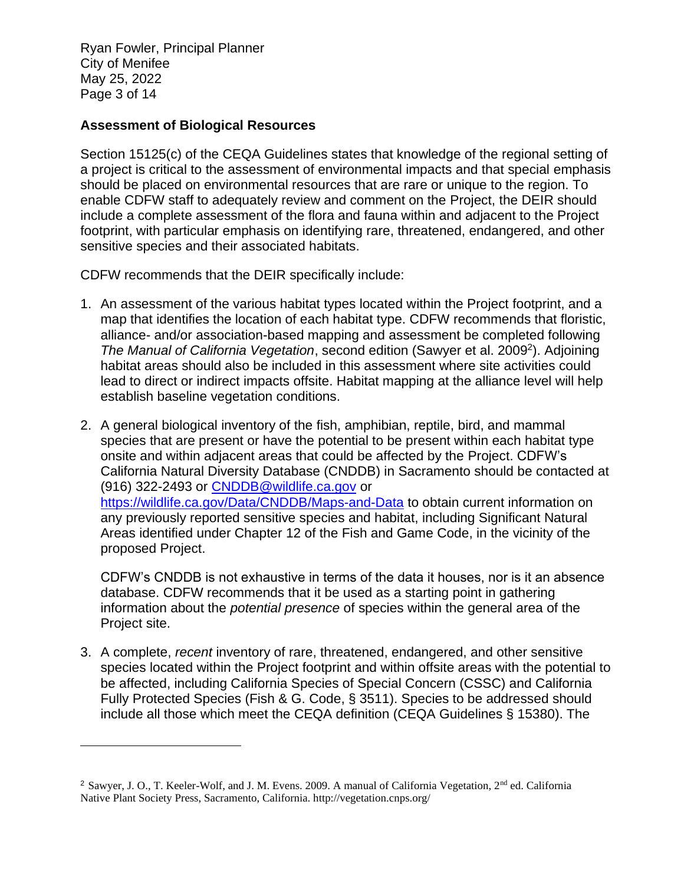Ryan Fowler, Principal Planner City of Menifee May 25, 2022 Page 3 of 14

#### **Assessment of Biological Resources**

Section 15125(c) of the CEQA Guidelines states that knowledge of the regional setting of a project is critical to the assessment of environmental impacts and that special emphasis should be placed on environmental resources that are rare or unique to the region. To enable CDFW staff to adequately review and comment on the Project, the DEIR should include a complete assessment of the flora and fauna within and adjacent to the Project footprint, with particular emphasis on identifying rare, threatened, endangered, and other sensitive species and their associated habitats.

CDFW recommends that the DEIR specifically include:

- 1. An assessment of the various habitat types located within the Project footprint, and a map that identifies the location of each habitat type. CDFW recommends that floristic, alliance- and/or association-based mapping and assessment be completed following The Manual of California Vegetation, second edition (Sawyer et al. 2009<sup>2</sup>). Adjoining habitat areas should also be included in this assessment where site activities could lead to direct or indirect impacts offsite. Habitat mapping at the alliance level will help establish baseline vegetation conditions.
- 2. A general biological inventory of the fish, amphibian, reptile, bird, and mammal species that are present or have the potential to be present within each habitat type onsite and within adjacent areas that could be affected by the Project. CDFW's California Natural Diversity Database (CNDDB) in Sacramento should be contacted at (916) 322-2493 or [CNDDB@wildlife.ca.gov](mailto:CNDDB@wildlife.ca.gov) or <https://wildlife.ca.gov/Data/CNDDB/Maps-and-Data> to obtain current information on any previously reported sensitive species and habitat, including Significant Natural Areas identified under Chapter 12 of the Fish and Game Code, in the vicinity of the proposed Project.

CDFW's CNDDB is not exhaustive in terms of the data it houses, nor is it an absence database. CDFW recommends that it be used as a starting point in gathering information about the *potential presence* of species within the general area of the Project site.

3. A complete, *recent* inventory of rare, threatened, endangered, and other sensitive species located within the Project footprint and within offsite areas with the potential to be affected, including California Species of Special Concern (CSSC) and California Fully Protected Species (Fish & G. Code, § 3511). Species to be addressed should include all those which meet the CEQA definition (CEQA Guidelines § 15380). The

<sup>&</sup>lt;sup>2</sup> Sawyer, J. O., T. Keeler-Wolf, and J. M. Evens. 2009. A manual of California Vegetation, 2<sup>nd</sup> ed. California Native Plant Society Press, Sacramento, California. http://vegetation.cnps.org/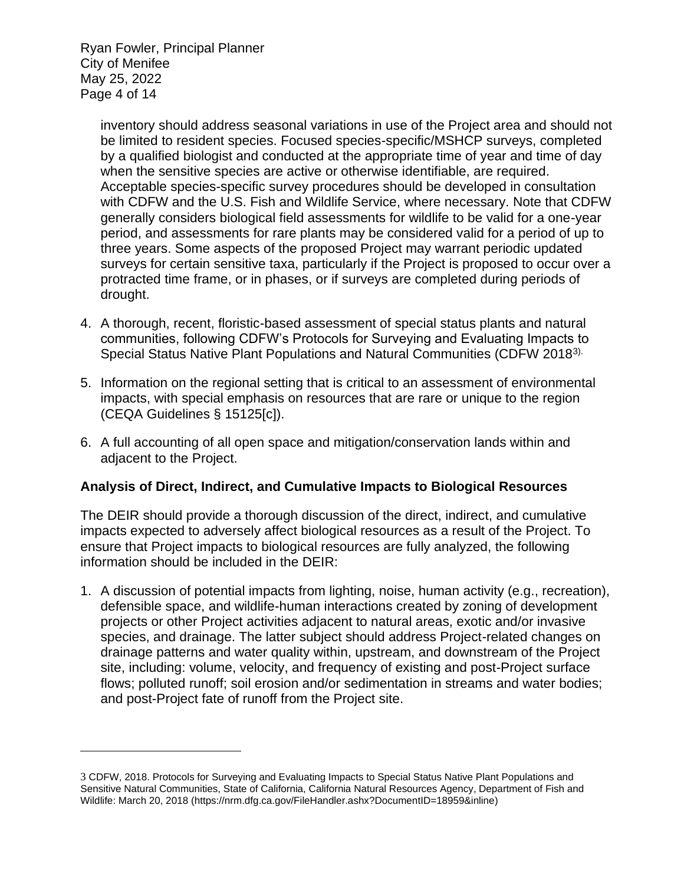Ryan Fowler, Principal Planner City of Menifee May 25, 2022 Page 4 of 14

> inventory should address seasonal variations in use of the Project area and should not be limited to resident species. Focused species-specific/MSHCP surveys, completed by a qualified biologist and conducted at the appropriate time of year and time of day when the sensitive species are active or otherwise identifiable, are required. Acceptable species-specific survey procedures should be developed in consultation with CDFW and the U.S. Fish and Wildlife Service, where necessary. Note that CDFW generally considers biological field assessments for wildlife to be valid for a one-year period, and assessments for rare plants may be considered valid for a period of up to three years. Some aspects of the proposed Project may warrant periodic updated surveys for certain sensitive taxa, particularly if the Project is proposed to occur over a protracted time frame, or in phases, or if surveys are completed during periods of drought.

- 4. A thorough, recent, floristic-based assessment of special status plants and natural communities, following CDFW's Protocols for Surveying and Evaluating Impacts to Special Status Native Plant Populations and Natural Communities (CDFW 20183).
- 5. Information on the regional setting that is critical to an assessment of environmental impacts, with special emphasis on resources that are rare or unique to the region (CEQA Guidelines § 15125[c]).
- 6. A full accounting of all open space and mitigation/conservation lands within and adjacent to the Project.

## **Analysis of Direct, Indirect, and Cumulative Impacts to Biological Resources**

The DEIR should provide a thorough discussion of the direct, indirect, and cumulative impacts expected to adversely affect biological resources as a result of the Project. To ensure that Project impacts to biological resources are fully analyzed, the following information should be included in the DEIR:

1. A discussion of potential impacts from lighting, noise, human activity (e.g., recreation), defensible space, and wildlife-human interactions created by zoning of development projects or other Project activities adjacent to natural areas, exotic and/or invasive species, and drainage. The latter subject should address Project-related changes on drainage patterns and water quality within, upstream, and downstream of the Project site, including: volume, velocity, and frequency of existing and post-Project surface flows; polluted runoff; soil erosion and/or sedimentation in streams and water bodies; and post-Project fate of runoff from the Project site.

<sup>3</sup> CDFW, 2018. Protocols for Surveying and Evaluating Impacts to Special Status Native Plant Populations and Sensitive Natural Communities, State of California, California Natural Resources Agency, Department of Fish and Wildlife: March 20, 2018 (https://nrm.dfg.ca.gov/FileHandler.ashx?DocumentID=18959&inline)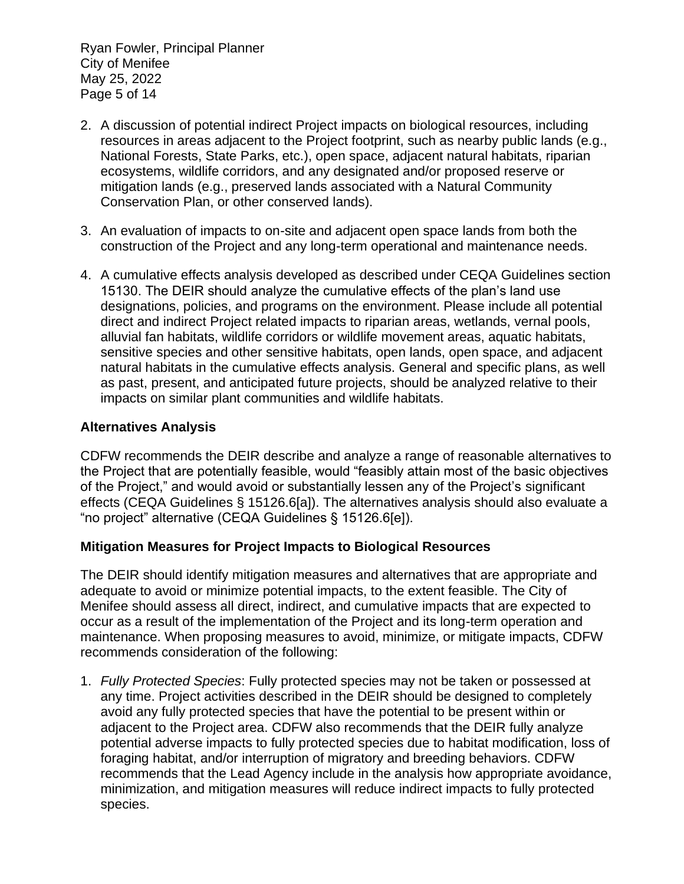Ryan Fowler, Principal Planner City of Menifee May 25, 2022 Page 5 of 14

- 2. A discussion of potential indirect Project impacts on biological resources, including resources in areas adjacent to the Project footprint, such as nearby public lands (e.g., National Forests, State Parks, etc.), open space, adjacent natural habitats, riparian ecosystems, wildlife corridors, and any designated and/or proposed reserve or mitigation lands (e.g., preserved lands associated with a Natural Community Conservation Plan, or other conserved lands).
- 3. An evaluation of impacts to on-site and adjacent open space lands from both the construction of the Project and any long-term operational and maintenance needs.
- 4. A cumulative effects analysis developed as described under CEQA Guidelines section 15130. The DEIR should analyze the cumulative effects of the plan's land use designations, policies, and programs on the environment. Please include all potential direct and indirect Project related impacts to riparian areas, wetlands, vernal pools, alluvial fan habitats, wildlife corridors or wildlife movement areas, aquatic habitats, sensitive species and other sensitive habitats, open lands, open space, and adjacent natural habitats in the cumulative effects analysis. General and specific plans, as well as past, present, and anticipated future projects, should be analyzed relative to their impacts on similar plant communities and wildlife habitats.

### **Alternatives Analysis**

CDFW recommends the DEIR describe and analyze a range of reasonable alternatives to the Project that are potentially feasible, would "feasibly attain most of the basic objectives of the Project," and would avoid or substantially lessen any of the Project's significant effects (CEQA Guidelines § 15126.6[a]). The alternatives analysis should also evaluate a "no project" alternative (CEQA Guidelines § 15126.6[e]).

#### **Mitigation Measures for Project Impacts to Biological Resources**

The DEIR should identify mitigation measures and alternatives that are appropriate and adequate to avoid or minimize potential impacts, to the extent feasible. The City of Menifee should assess all direct, indirect, and cumulative impacts that are expected to occur as a result of the implementation of the Project and its long-term operation and maintenance. When proposing measures to avoid, minimize, or mitigate impacts, CDFW recommends consideration of the following:

1. *Fully Protected Species*: Fully protected species may not be taken or possessed at any time. Project activities described in the DEIR should be designed to completely avoid any fully protected species that have the potential to be present within or adjacent to the Project area. CDFW also recommends that the DEIR fully analyze potential adverse impacts to fully protected species due to habitat modification, loss of foraging habitat, and/or interruption of migratory and breeding behaviors. CDFW recommends that the Lead Agency include in the analysis how appropriate avoidance, minimization, and mitigation measures will reduce indirect impacts to fully protected species.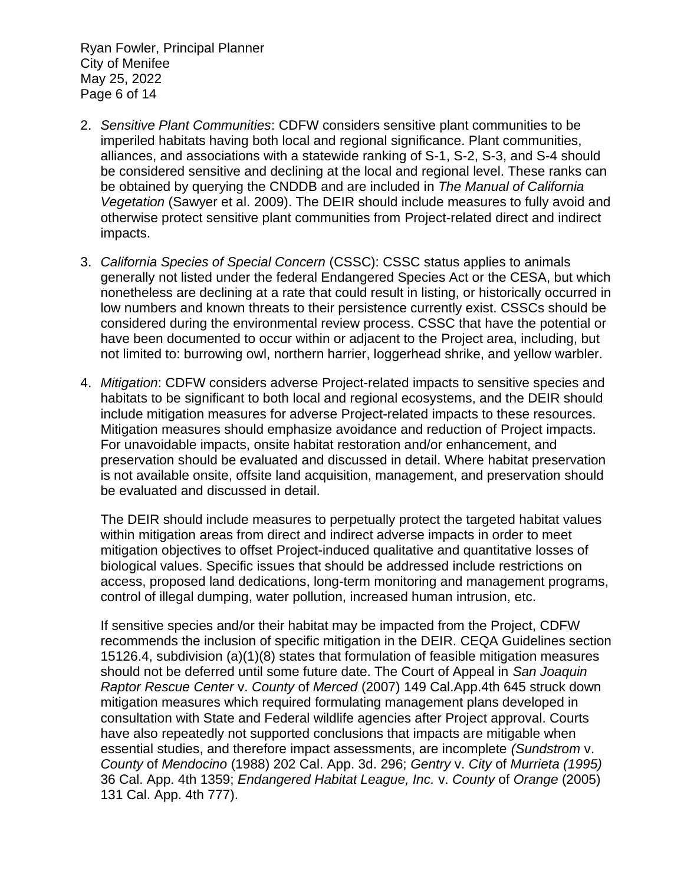Ryan Fowler, Principal Planner City of Menifee May 25, 2022 Page 6 of 14

- 2. *Sensitive Plant Communities*: CDFW considers sensitive plant communities to be imperiled habitats having both local and regional significance. Plant communities, alliances, and associations with a statewide ranking of S-1, S-2, S-3, and S-4 should be considered sensitive and declining at the local and regional level. These ranks can be obtained by querying the CNDDB and are included in *The Manual of California Vegetation* (Sawyer et al. 2009). The DEIR should include measures to fully avoid and otherwise protect sensitive plant communities from Project-related direct and indirect impacts.
- 3. *California Species of Special Concern* (CSSC): CSSC status applies to animals generally not listed under the federal Endangered Species Act or the CESA, but which nonetheless are declining at a rate that could result in listing, or historically occurred in low numbers and known threats to their persistence currently exist. CSSCs should be considered during the environmental review process. CSSC that have the potential or have been documented to occur within or adjacent to the Project area, including, but not limited to: burrowing owl, northern harrier, loggerhead shrike, and yellow warbler.
- 4. *Mitigation*: CDFW considers adverse Project-related impacts to sensitive species and habitats to be significant to both local and regional ecosystems, and the DEIR should include mitigation measures for adverse Project-related impacts to these resources. Mitigation measures should emphasize avoidance and reduction of Project impacts. For unavoidable impacts, onsite habitat restoration and/or enhancement, and preservation should be evaluated and discussed in detail. Where habitat preservation is not available onsite, offsite land acquisition, management, and preservation should be evaluated and discussed in detail.

The DEIR should include measures to perpetually protect the targeted habitat values within mitigation areas from direct and indirect adverse impacts in order to meet mitigation objectives to offset Project-induced qualitative and quantitative losses of biological values. Specific issues that should be addressed include restrictions on access, proposed land dedications, long-term monitoring and management programs, control of illegal dumping, water pollution, increased human intrusion, etc.

If sensitive species and/or their habitat may be impacted from the Project, CDFW recommends the inclusion of specific mitigation in the DEIR. CEQA Guidelines section 15126.4, subdivision (a)(1)(8) states that formulation of feasible mitigation measures should not be deferred until some future date. The Court of Appeal in *San Joaquin Raptor Rescue Center* v. *County* of *Merced* (2007) 149 Cal.App.4th 645 struck down mitigation measures which required formulating management plans developed in consultation with State and Federal wildlife agencies after Project approval. Courts have also repeatedly not supported conclusions that impacts are mitigable when essential studies, and therefore impact assessments, are incomplete *(Sundstrom* v. *County* of *Mendocino* (1988) 202 Cal. App. 3d. 296; *Gentry* v. *City* of *Murrieta (1995)* 36 Cal. App. 4th 1359; *Endangered Habitat League, Inc.* v. *County* of *Orange* (2005) 131 Cal. App. 4th 777).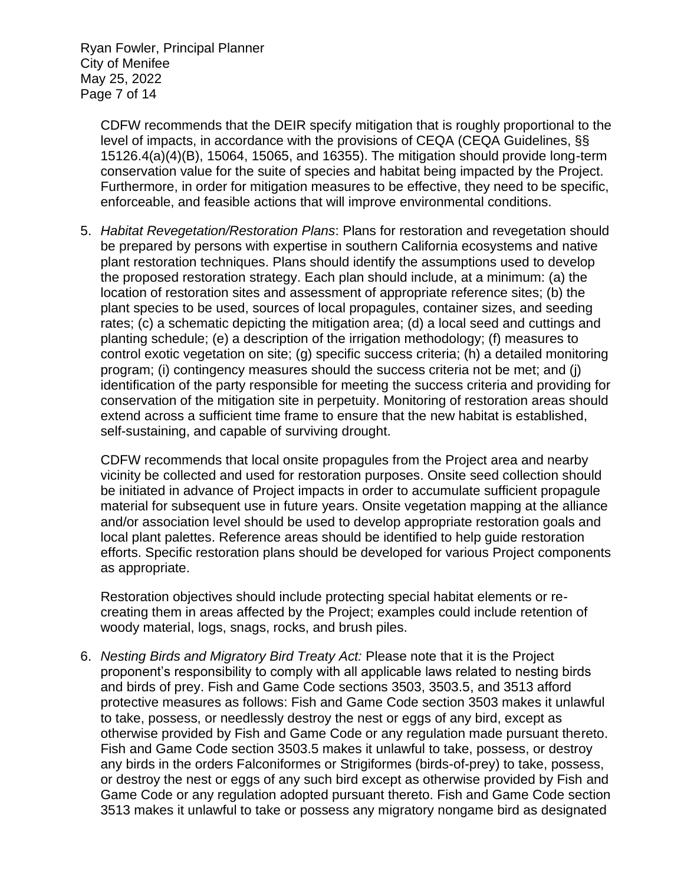Ryan Fowler, Principal Planner City of Menifee May 25, 2022 Page 7 of 14

> CDFW recommends that the DEIR specify mitigation that is roughly proportional to the level of impacts, in accordance with the provisions of CEQA (CEQA Guidelines, §§ 15126.4(a)(4)(B), 15064, 15065, and 16355). The mitigation should provide long-term conservation value for the suite of species and habitat being impacted by the Project. Furthermore, in order for mitigation measures to be effective, they need to be specific, enforceable, and feasible actions that will improve environmental conditions.

5. *Habitat Revegetation/Restoration Plans*: Plans for restoration and revegetation should be prepared by persons with expertise in southern California ecosystems and native plant restoration techniques. Plans should identify the assumptions used to develop the proposed restoration strategy. Each plan should include, at a minimum: (a) the location of restoration sites and assessment of appropriate reference sites; (b) the plant species to be used, sources of local propagules, container sizes, and seeding rates; (c) a schematic depicting the mitigation area; (d) a local seed and cuttings and planting schedule; (e) a description of the irrigation methodology; (f) measures to control exotic vegetation on site; (g) specific success criteria; (h) a detailed monitoring program; (i) contingency measures should the success criteria not be met; and (j) identification of the party responsible for meeting the success criteria and providing for conservation of the mitigation site in perpetuity. Monitoring of restoration areas should extend across a sufficient time frame to ensure that the new habitat is established, self-sustaining, and capable of surviving drought.

CDFW recommends that local onsite propagules from the Project area and nearby vicinity be collected and used for restoration purposes. Onsite seed collection should be initiated in advance of Project impacts in order to accumulate sufficient propagule material for subsequent use in future years. Onsite vegetation mapping at the alliance and/or association level should be used to develop appropriate restoration goals and local plant palettes. Reference areas should be identified to help guide restoration efforts. Specific restoration plans should be developed for various Project components as appropriate.

Restoration objectives should include protecting special habitat elements or recreating them in areas affected by the Project; examples could include retention of woody material, logs, snags, rocks, and brush piles.

6. *Nesting Birds and Migratory Bird Treaty Act:* Please note that it is the Project proponent's responsibility to comply with all applicable laws related to nesting birds and birds of prey. Fish and Game Code sections 3503, 3503.5, and 3513 afford protective measures as follows: Fish and Game Code section 3503 makes it unlawful to take, possess, or needlessly destroy the nest or eggs of any bird, except as otherwise provided by Fish and Game Code or any regulation made pursuant thereto. Fish and Game Code section 3503.5 makes it unlawful to take, possess, or destroy any birds in the orders Falconiformes or Strigiformes (birds-of-prey) to take, possess, or destroy the nest or eggs of any such bird except as otherwise provided by Fish and Game Code or any regulation adopted pursuant thereto. Fish and Game Code section 3513 makes it unlawful to take or possess any migratory nongame bird as designated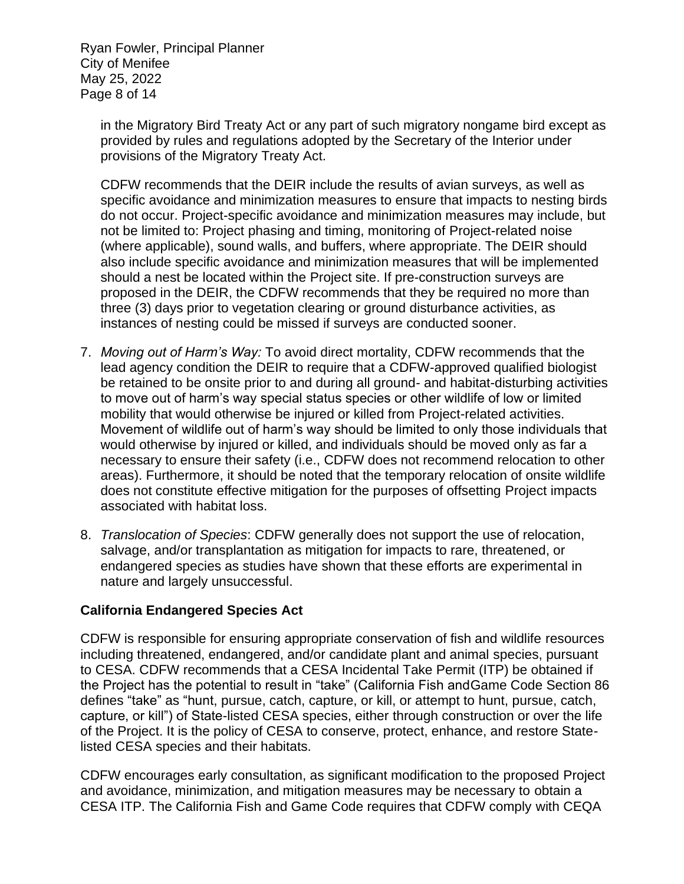Ryan Fowler, Principal Planner City of Menifee May 25, 2022 Page 8 of 14

> in the Migratory Bird Treaty Act or any part of such migratory nongame bird except as provided by rules and regulations adopted by the Secretary of the Interior under provisions of the Migratory Treaty Act.

> CDFW recommends that the DEIR include the results of avian surveys, as well as specific avoidance and minimization measures to ensure that impacts to nesting birds do not occur. Project-specific avoidance and minimization measures may include, but not be limited to: Project phasing and timing, monitoring of Project-related noise (where applicable), sound walls, and buffers, where appropriate. The DEIR should also include specific avoidance and minimization measures that will be implemented should a nest be located within the Project site. If pre-construction surveys are proposed in the DEIR, the CDFW recommends that they be required no more than three (3) days prior to vegetation clearing or ground disturbance activities, as instances of nesting could be missed if surveys are conducted sooner.

- 7. *Moving out of Harm's Way:* To avoid direct mortality, CDFW recommends that the lead agency condition the DEIR to require that a CDFW-approved qualified biologist be retained to be onsite prior to and during all ground- and habitat-disturbing activities to move out of harm's way special status species or other wildlife of low or limited mobility that would otherwise be injured or killed from Project-related activities. Movement of wildlife out of harm's way should be limited to only those individuals that would otherwise by injured or killed, and individuals should be moved only as far a necessary to ensure their safety (i.e., CDFW does not recommend relocation to other areas). Furthermore, it should be noted that the temporary relocation of onsite wildlife does not constitute effective mitigation for the purposes of offsetting Project impacts associated with habitat loss.
- 8. *Translocation of Species*: CDFW generally does not support the use of relocation, salvage, and/or transplantation as mitigation for impacts to rare, threatened, or endangered species as studies have shown that these efforts are experimental in nature and largely unsuccessful.

#### **California Endangered Species Act**

CDFW is responsible for ensuring appropriate conservation of fish and wildlife resources including threatened, endangered, and/or candidate plant and animal species, pursuant to CESA. CDFW recommends that a CESA Incidental Take Permit (ITP) be obtained if the Project has the potential to result in "take" (California Fish andGame Code Section 86 defines "take" as "hunt, pursue, catch, capture, or kill, or attempt to hunt, pursue, catch, capture, or kill") of State-listed CESA species, either through construction or over the life of the Project. It is the policy of CESA to conserve, protect, enhance, and restore Statelisted CESA species and their habitats.

CDFW encourages early consultation, as significant modification to the proposed Project and avoidance, minimization, and mitigation measures may be necessary to obtain a CESA ITP. The California Fish and Game Code requires that CDFW comply with CEQA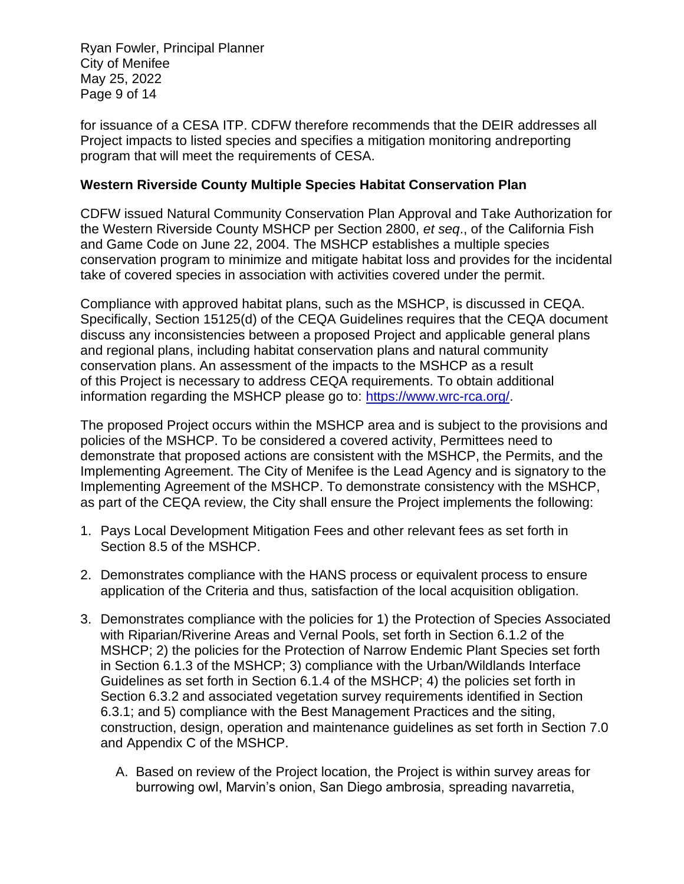Ryan Fowler, Principal Planner City of Menifee May 25, 2022 Page 9 of 14

for issuance of a CESA ITP. CDFW therefore recommends that the DEIR addresses all Project impacts to listed species and specifies a mitigation monitoring andreporting program that will meet the requirements of CESA.

#### **Western Riverside County Multiple Species Habitat Conservation Plan**

CDFW issued Natural Community Conservation Plan Approval and Take Authorization for the Western Riverside County MSHCP per Section 2800, *et seq*., of the California Fish and Game Code on June 22, 2004. The MSHCP establishes a multiple species conservation program to minimize and mitigate habitat loss and provides for the incidental take of covered species in association with activities covered under the permit.

Compliance with approved habitat plans, such as the MSHCP, is discussed in CEQA. Specifically, Section 15125(d) of the CEQA Guidelines requires that the CEQA document discuss any inconsistencies between a proposed Project and applicable general plans and regional plans, including habitat conservation plans and natural community conservation plans. An assessment of the impacts to the MSHCP as a result of this Project is necessary to address CEQA requirements. To obtain additional information regarding the MSHCP please go to: [https://www.wrc-rca.org/.](https://www.wrc-rca.org/)

The proposed Project occurs within the MSHCP area and is subject to the provisions and policies of the MSHCP. To be considered a covered activity, Permittees need to demonstrate that proposed actions are consistent with the MSHCP, the Permits, and the Implementing Agreement. The City of Menifee is the Lead Agency and is signatory to the Implementing Agreement of the MSHCP. To demonstrate consistency with the MSHCP, as part of the CEQA review, the City shall ensure the Project implements the following:

- 1. Pays Local Development Mitigation Fees and other relevant fees as set forth in Section 8.5 of the MSHCP.
- 2. Demonstrates compliance with the HANS process or equivalent process to ensure application of the Criteria and thus, satisfaction of the local acquisition obligation.
- 3. Demonstrates compliance with the policies for 1) the Protection of Species Associated with Riparian/Riverine Areas and Vernal Pools, set forth in Section 6.1.2 of the MSHCP; 2) the policies for the Protection of Narrow Endemic Plant Species set forth in Section 6.1.3 of the MSHCP; 3) compliance with the Urban/Wildlands Interface Guidelines as set forth in Section 6.1.4 of the MSHCP; 4) the policies set forth in Section 6.3.2 and associated vegetation survey requirements identified in Section 6.3.1; and 5) compliance with the Best Management Practices and the siting, construction, design, operation and maintenance guidelines as set forth in Section 7.0 and Appendix C of the MSHCP.
	- A. Based on review of the Project location, the Project is within survey areas for burrowing owl, Marvin's onion, San Diego ambrosia, spreading navarretia,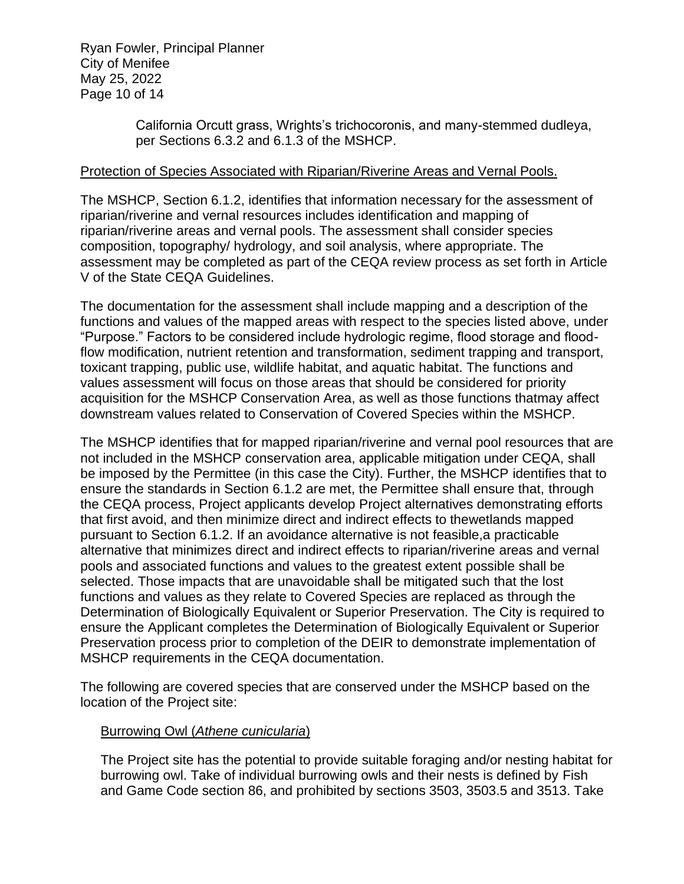Ryan Fowler, Principal Planner City of Menifee May 25, 2022 Page 10 of 14

> California Orcutt grass, Wrights's trichocoronis, and many-stemmed dudleya, per Sections 6.3.2 and 6.1.3 of the MSHCP.

#### Protection of Species Associated with Riparian/Riverine Areas and Vernal Pools.

The MSHCP, Section 6.1.2, identifies that information necessary for the assessment of riparian/riverine and vernal resources includes identification and mapping of riparian/riverine areas and vernal pools. The assessment shall consider species composition, topography/ hydrology, and soil analysis, where appropriate. The assessment may be completed as part of the CEQA review process as set forth in Article V of the State CEQA Guidelines.

The documentation for the assessment shall include mapping and a description of the functions and values of the mapped areas with respect to the species listed above, under "Purpose." Factors to be considered include hydrologic regime, flood storage and floodflow modification, nutrient retention and transformation, sediment trapping and transport, toxicant trapping, public use, wildlife habitat, and aquatic habitat. The functions and values assessment will focus on those areas that should be considered for priority acquisition for the MSHCP Conservation Area, as well as those functions thatmay affect downstream values related to Conservation of Covered Species within the MSHCP.

The MSHCP identifies that for mapped riparian/riverine and vernal pool resources that are not included in the MSHCP conservation area, applicable mitigation under CEQA, shall be imposed by the Permittee (in this case the City). Further, the MSHCP identifies that to ensure the standards in Section 6.1.2 are met, the Permittee shall ensure that, through the CEQA process, Project applicants develop Project alternatives demonstrating efforts that first avoid, and then minimize direct and indirect effects to thewetlands mapped pursuant to Section 6.1.2. If an avoidance alternative is not feasible,a practicable alternative that minimizes direct and indirect effects to riparian/riverine areas and vernal pools and associated functions and values to the greatest extent possible shall be selected. Those impacts that are unavoidable shall be mitigated such that the lost functions and values as they relate to Covered Species are replaced as through the Determination of Biologically Equivalent or Superior Preservation. The City is required to ensure the Applicant completes the Determination of Biologically Equivalent or Superior Preservation process prior to completion of the DEIR to demonstrate implementation of MSHCP requirements in the CEQA documentation.

The following are covered species that are conserved under the MSHCP based on the location of the Project site:

#### Burrowing Owl (*Athene cunicularia*)

The Project site has the potential to provide suitable foraging and/or nesting habitat for burrowing owl. Take of individual burrowing owls and their nests is defined by Fish and Game Code section 86, and prohibited by sections 3503, 3503.5 and 3513. Take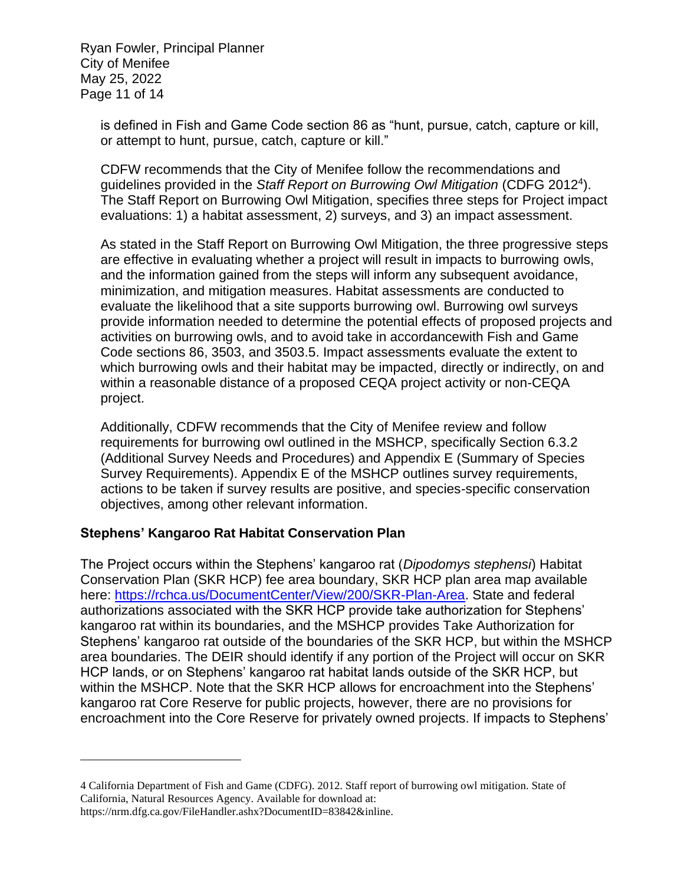Ryan Fowler, Principal Planner City of Menifee May 25, 2022 Page 11 of 14

> is defined in Fish and Game Code section 86 as "hunt, pursue, catch, capture or kill, or attempt to hunt, pursue, catch, capture or kill."

CDFW recommends that the City of Menifee follow the recommendations and guidelines provided in the Staff Report on Burrowing Owl Mitigation (CDFG 2012<sup>4</sup>). The Staff Report on Burrowing Owl Mitigation, specifies three steps for Project impact evaluations: 1) a habitat assessment, 2) surveys, and 3) an impact assessment.

As stated in the Staff Report on Burrowing Owl Mitigation, the three progressive steps are effective in evaluating whether a project will result in impacts to burrowing owls, and the information gained from the steps will inform any subsequent avoidance, minimization, and mitigation measures. Habitat assessments are conducted to evaluate the likelihood that a site supports burrowing owl. Burrowing owl surveys provide information needed to determine the potential effects of proposed projects and activities on burrowing owls, and to avoid take in accordancewith Fish and Game Code sections 86, 3503, and 3503.5. Impact assessments evaluate the extent to which burrowing owls and their habitat may be impacted, directly or indirectly, on and within a reasonable distance of a proposed CEQA project activity or non-CEQA project.

Additionally, CDFW recommends that the City of Menifee review and follow requirements for burrowing owl outlined in the MSHCP, specifically Section 6.3.2 (Additional Survey Needs and Procedures) and Appendix E (Summary of Species Survey Requirements). Appendix E of the MSHCP outlines survey requirements, actions to be taken if survey results are positive, and species-specific conservation objectives, among other relevant information.

#### **Stephens' Kangaroo Rat Habitat Conservation Plan**

The Project occurs within the Stephens' kangaroo rat (*Dipodomys stephensi*) Habitat Conservation Plan (SKR HCP) fee area boundary, SKR HCP plan area map available here: [https://rchca.us/DocumentCenter/View/200/SKR-Plan-Area.](https://rchca.us/DocumentCenter/View/200/SKR-Plan-Area) State and federal authorizations associated with the SKR HCP provide take authorization for Stephens' kangaroo rat within its boundaries, and the MSHCP provides Take Authorization for Stephens' kangaroo rat outside of the boundaries of the SKR HCP, but within the MSHCP area boundaries. The DEIR should identify if any portion of the Project will occur on SKR HCP lands, or on Stephens' kangaroo rat habitat lands outside of the SKR HCP, but within the MSHCP. Note that the SKR HCP allows for encroachment into the Stephens' kangaroo rat Core Reserve for public projects, however, there are no provisions for encroachment into the Core Reserve for privately owned projects. If impacts to Stephens'

<sup>4</sup> California Department of Fish and Game (CDFG). 2012. Staff report of burrowing owl mitigation. State of California, Natural Resources Agency. Available for download at: https://nrm.dfg.ca.gov/FileHandler.ashx?DocumentID=83842&inline.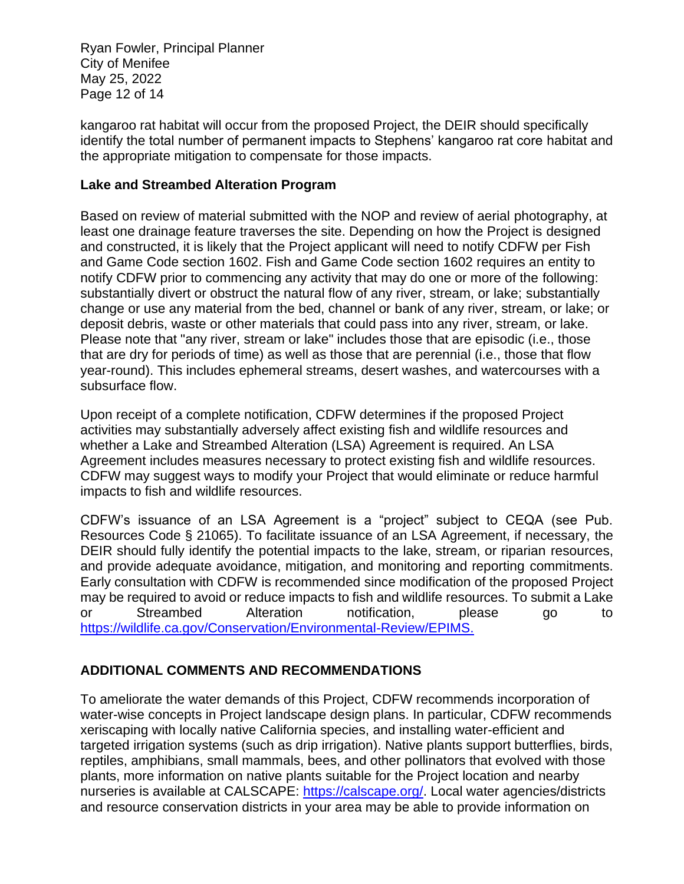Ryan Fowler, Principal Planner City of Menifee May 25, 2022 Page 12 of 14

kangaroo rat habitat will occur from the proposed Project, the DEIR should specifically identify the total number of permanent impacts to Stephens' kangaroo rat core habitat and the appropriate mitigation to compensate for those impacts.

#### **Lake and Streambed Alteration Program**

Based on review of material submitted with the NOP and review of aerial photography, at least one drainage feature traverses the site. Depending on how the Project is designed and constructed, it is likely that the Project applicant will need to notify CDFW per Fish and Game Code section 1602. Fish and Game Code section 1602 requires an entity to notify CDFW prior to commencing any activity that may do one or more of the following: substantially divert or obstruct the natural flow of any river, stream, or lake; substantially change or use any material from the bed, channel or bank of any river, stream, or lake; or deposit debris, waste or other materials that could pass into any river, stream, or lake. Please note that "any river, stream or lake" includes those that are episodic (i.e., those that are dry for periods of time) as well as those that are perennial (i.e., those that flow year-round). This includes ephemeral streams, desert washes, and watercourses with a subsurface flow.

Upon receipt of a complete notification, CDFW determines if the proposed Project activities may substantially adversely affect existing fish and wildlife resources and whether a Lake and Streambed Alteration (LSA) Agreement is required. An LSA Agreement includes measures necessary to protect existing fish and wildlife resources. CDFW may suggest ways to modify your Project that would eliminate or reduce harmful impacts to fish and wildlife resources.

CDFW's issuance of an LSA Agreement is a "project" subject to CEQA (see Pub. Resources Code § 21065). To facilitate issuance of an LSA Agreement, if necessary, the DEIR should fully identify the potential impacts to the lake, stream, or riparian resources, and provide adequate avoidance, mitigation, and monitoring and reporting commitments. Early consultation with CDFW is recommended since modification of the proposed Project may be required to avoid or reduce impacts to fish and wildlife resources. To submit a Lake or Streambed Alteration notification, please go to [https://wildlife.ca.gov/Conservation/Environmental-Review/EPIMS.](https://wildlife.ca.gov/Conservation/Environmental-Review/EPIMS)

## **ADDITIONAL COMMENTS AND RECOMMENDATIONS**

To ameliorate the water demands of this Project, CDFW recommends incorporation of water-wise concepts in Project landscape design plans. In particular, CDFW recommends xeriscaping with locally native California species, and installing water-efficient and targeted irrigation systems (such as drip irrigation). Native plants support butterflies, birds, reptiles, amphibians, small mammals, bees, and other pollinators that evolved with those plants, more information on native plants suitable for the Project location and nearby nurseries is available at CALSCAPE: [https://calscape.org/.](https://calscape.org/) Local water agencies/districts and resource conservation districts in your area may be able to provide information on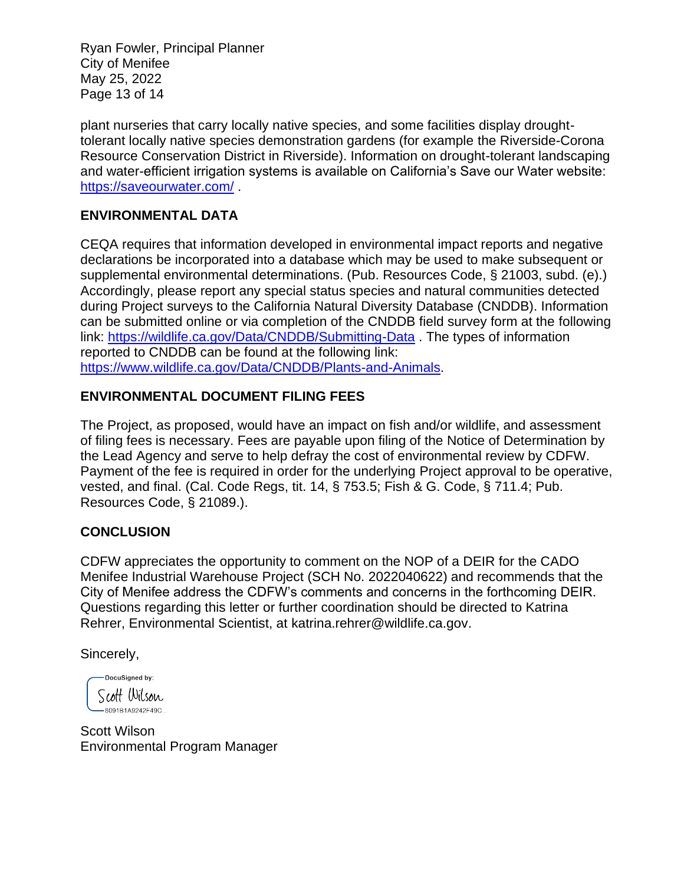Ryan Fowler, Principal Planner City of Menifee May 25, 2022 Page 13 of 14

plant nurseries that carry locally native species, and some facilities display droughttolerant locally native species demonstration gardens (for example the Riverside-Corona Resource Conservation District in Riverside). Information on drought-tolerant landscaping and water-efficient irrigation systems is available on California's Save our Water website: <https://saveourwater.com/> .

## **ENVIRONMENTAL DATA**

CEQA requires that information developed in environmental impact reports and negative declarations be incorporated into a database which may be used to make subsequent or supplemental environmental determinations. (Pub. Resources Code, § 21003, subd. (e).) Accordingly, please report any special status species and natural communities detected during Project surveys to the California Natural Diversity Database (CNDDB). Information can be submitted online or via completion of the CNDDB field survey form at the following link:<https://wildlife.ca.gov/Data/CNDDB/Submitting-Data> . The types of information reported to CNDDB can be found at the following link: [https://www.wildlife.ca.gov/Data/CNDDB/Plants-and-Animals.](https://www.wildlife.ca.gov/Data/CNDDB/Plants-and-Animals)

## **ENVIRONMENTAL DOCUMENT FILING FEES**

The Project, as proposed, would have an impact on fish and/or wildlife, and assessment of filing fees is necessary. Fees are payable upon filing of the Notice of Determination by the Lead Agency and serve to help defray the cost of environmental review by CDFW. Payment of the fee is required in order for the underlying Project approval to be operative, vested, and final. (Cal. Code Regs, tit. 14, § 753.5; Fish & G. Code, § 711.4; Pub. Resources Code, § 21089.).

#### **CONCLUSION**

CDFW appreciates the opportunity to comment on the NOP of a DEIR for the CADO Menifee Industrial Warehouse Project (SCH No. 2022040622) and recommends that the City of Menifee address the CDFW's comments and concerns in the forthcoming DEIR. Questions regarding this letter or further coordination should be directed to Katrina Rehrer, Environmental Scientist, at [katrina.rehrer@wildlife.ca.gov.](mailto:katrina.rehrer@wildlife.ca.gov)

Sincerely,

-DocuSigned by: Scott Wilson -8091B1A9242F49C...

Scott Wilson Environmental Program Manager